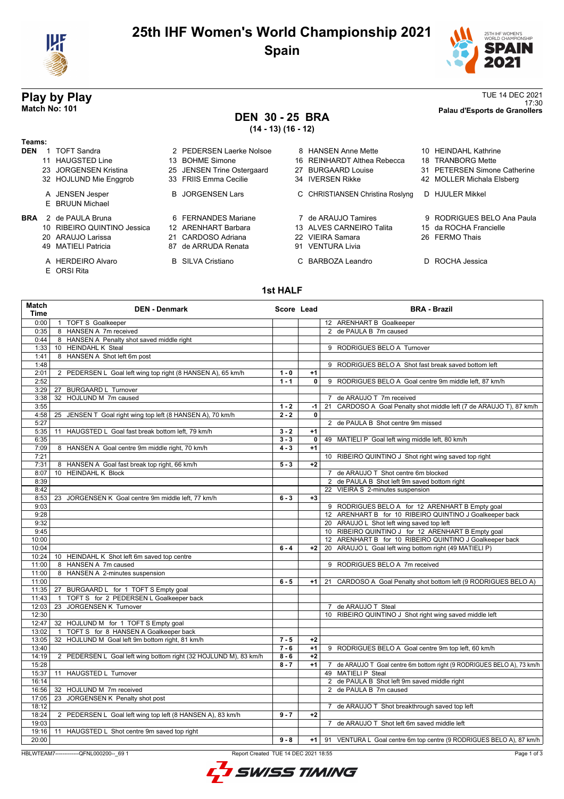

## **25th IHF Women's World Championship 2021 Spain**



# **DEN 30 - 25 BRA**

**(14 - 13) (16 - 12)**

| Teams:     |                                    |                            |    |                                  |                              |
|------------|------------------------------------|----------------------------|----|----------------------------------|------------------------------|
| <b>DEN</b> | <b>TOFT Sandra</b>                 | 2 PEDERSEN Laerke Nolsoe   |    | 8 HANSEN Anne Mette              | 10 HFINDAHI Kathrine         |
|            | 11 HAUGSTED Line                   | 13 BOHME Simone            |    | 16 REINHARDT Althea Rebecca      | 18 TRANBORG Mette            |
|            | 23 JORGENSEN Kristina              | 25 JENSEN Trine Ostergaard | 27 | BURGAARD Louise                  | 31 PETERSEN Simone Catherine |
|            | 32 HOJLUND Mie Enggrob             | 33 FRIIS Emma Cecilie      |    | 34 IVERSEN Rikke                 | 42 MOLLER Michala Elsberg    |
|            | A JENSEN Jesper<br>E BRUUN Michael | <b>B</b> JORGENSEN Lars    |    | C CHRISTIANSEN Christina Roslyng | D HJULER Mikkel              |
| <b>BRA</b> | 2 de PAULA Bruna                   | 6 FFRNANDES Mariane        |    | 7 de ARAUJO Tamires              | 9 RODRIGUES BELO Ana Paula   |
|            | 10 RIBEIRO QUINTINO Jessica        | 12 ARFNHART Barbara        |    | 13 ALVES CARNEIRO Talita         | 15 da ROCHA Francielle       |
|            | 20 ARAUJO Larissa                  | 21 CARDOSO Adriana         |    | 22 VIFIRA Samara                 | 26 FERMO Thais               |
|            | 49 MATIELI Patricia                | 87 de ARRUDA Renata        | 91 | <b>VENTURA Livia</b>             |                              |

- 
- E ORSI Rita
- 
- 
- 87 de ARRUDA Renata
- 

| 25 JENSEN Trine Ostergaard | 27 BURGAARD Louise                               | 31 PETERSEN Simone Catherine |
|----------------------------|--------------------------------------------------|------------------------------|
| 33 FRIIS Emma Cecilie      | 34 IVERSEN Rikke                                 | 42 MOLLER Michala Elsberg    |
| <b>B</b> JORGENSEN Lars    | C CHRISTIANSEN Christina Roslyng D HJULER Mikkel |                              |
| 6 FERNANDES Mariane        | 7 de ARAUJO Tamires                              | 9 RODRIGUES BELO Ana Paula   |
| 12 ARENHART Barbara        | 13 ALVES CARNEIRO Talita                         | 15 da ROCHA Francielle       |
| 21 CARDOSO Adriana         | 22 VIEIRA Samara                                 | 26 FERMO Thais               |
| 87 de ARRUDA Renata        | 91 VENTURA Livia                                 |                              |

A HERDEIRO Alvaro **B SILVA Cristiano** C BARBOZA Leandro D ROCHA Jessica

## **Play by Play** TUE 14 DEC 2021<br>17:30<br>Palau d'Esports de Granollers 17:30 **Match No: 101 Palau d'Esports de Granollers**

# 13 BOHME Simone 16 REINHARDT Althea Rebecca 18 TRANBORG Mette

- 
- 
- 

## **1st HALF**

| 0:00<br>1 TOFT S Goalkeeper<br>12 ARENHART B Goalkeeper<br>8 HANSEN A 7m received<br>2 de PAULA B 7m caused<br>0:35<br>0:44<br>8 HANSEN A Penalty shot saved middle right<br>10 HEINDAHL K Steal<br>9 RODRIGUES BELO A Turnover<br>1:33<br>8 HANSEN A Shot left 6m post<br>1:41<br>1:48<br>9 RODRIGUES BELO A Shot fast break saved bottom left<br>2:01<br>2 PEDERSEN L Goal left wing top right (8 HANSEN A), 65 km/h<br>$1 - 0$<br>$+1$<br>2:52<br>$1 - 1$<br>0<br>9 RODRIGUES BELO A Goal centre 9m middle left, 87 km/h<br>27 BURGAARD L Turnover<br>3:29<br>32 HOJLUND M 7m caused<br>3:38<br>7 de ARAUJO T 7m received<br>21 CARDOSO A Goal Penalty shot middle left (7 de ARAUJO T), 87 km/h<br>3:55<br>$1 - 2$<br>$-1$<br>$2 - 2$<br>4:58<br>25 JENSEN T Goal right wing top left (8 HANSEN A), 70 km/h<br>$\mathbf{0}$<br>2 de PAULA B Shot centre 9m missed<br>5:27<br>5:35<br>11 HAUGSTED L Goal fast break bottom left, 79 km/h<br>$3 - 2$<br>$+1$<br>6:35<br>$3 - 3$<br>$\mathbf{0}$<br>49 MATIELI P Goal left wing middle left, 80 km/h<br>$4 - 3$<br>7:09<br>8 HANSEN A Goal centre 9m middle right, 70 km/h<br>$+1$<br>7:21<br>10 RIBEIRO QUINTINO J Shot right wing saved top right<br>7:31<br>8 HANSEN A Goal fast break top right, 66 km/h<br>$5 - 3$<br>$+2$<br>10 HEINDAHL K Block<br>8:07<br>7 de ARAUJO T Shot centre 6m blocked<br>2 de PAULA B Shot left 9m saved bottom right<br>8:39<br>22 VIEIRA S 2-minutes suspension<br>8:42<br>8:53<br>23 JORGENSEN K Goal centre 9m middle left, 77 km/h<br>$6 - 3$<br>$+3$<br>9:03<br>9 RODRIGUES BELO A for 12 ARENHART B Empty goal<br>12 ARENHART B for 10 RIBEIRO QUINTINO J Goalkeeper back<br>9:28<br>20 ARAUJO L Shot left wing saved top left<br>9:32<br>10 RIBEIRO QUINTINO J for 12 ARENHART B Empty goal<br>9:45<br>12 ARENHART B for 10 RIBEIRO QUINTINO J Goalkeeper back<br>10:00<br>20 ARAUJO L Goal left wing bottom right (49 MATIELI P)<br>10:04<br>$6 - 4$<br>$+2$<br>10:24<br>10 HEINDAHL K Shot left 6m saved top centre<br>8 HANSEN A 7m caused<br>9 RODRIGUES BELO A 7m received<br>11:00<br>11:00<br>8 HANSEN A 2-minutes suspension<br>11:00<br>$6 - 5$<br>21 CARDOSO A Goal Penalty shot bottom left (9 RODRIGUES BELO A)<br>$+1$<br>11:35<br>27 BURGAARD L for 1 TOFT S Empty goal<br>1 TOFT S for 2 PEDERSEN L Goalkeeper back<br>11:43<br>12:03<br>JORGENSEN K Turnover<br>23<br>7 de ARAUJO T Steal<br>12:30<br>10 RIBEIRO QUINTINO J Shot right wing saved middle left<br>12:47<br>32 HOJLUND M for 1 TOFT S Empty goal<br>TOFT S for 8 HANSEN A Goalkeeper back<br>13:02<br>32 HOJLUND M Goal left 9m bottom right, 81 km/h<br>13:05<br>$7 - 5$<br>$+2$<br>13:40<br>$7 - 6$<br>$+1$<br>9 RODRIGUES BELO A Goal centre 9m top left, 60 km/h<br>14:19<br>2 PEDERSEN L Goal left wing bottom right (32 HOJLUND M), 83 km/h<br>$8 - 6$<br>$+2$<br>15:28<br>$8 - 7$<br>$+1$<br>15:37<br>11 HAUGSTED L Turnover<br>49 MATIELI P Steal<br>16:14<br>2 de PAULA B Shot left 9m saved middle right<br>2 de PAULA B 7m caused<br>16:56<br>32 HOJLUND M 7m received<br>23 JORGENSEN K Penalty shot post<br>17:05<br>18:12<br>7 de ARAUJO T Shot breakthrough saved top left<br>18:24<br>$9 - 7$<br>2 PEDERSEN L Goal left wing top left (8 HANSEN A), 83 km/h<br>$+2$<br>19:03<br>7 de ARAUJO T Shot left 6m saved middle left<br>19:16<br>11 HAUGSTED L Shot centre 9m saved top right<br>20:00<br>$9 - 8$<br>+1   91 VENTURA L Goal centre 6m top centre (9 RODRIGUES BELO A), 87 km/h | Match<br>Time | <b>DEN - Denmark</b> | Score Lead | <b>BRA - Brazil</b>                                                     |
|--------------------------------------------------------------------------------------------------------------------------------------------------------------------------------------------------------------------------------------------------------------------------------------------------------------------------------------------------------------------------------------------------------------------------------------------------------------------------------------------------------------------------------------------------------------------------------------------------------------------------------------------------------------------------------------------------------------------------------------------------------------------------------------------------------------------------------------------------------------------------------------------------------------------------------------------------------------------------------------------------------------------------------------------------------------------------------------------------------------------------------------------------------------------------------------------------------------------------------------------------------------------------------------------------------------------------------------------------------------------------------------------------------------------------------------------------------------------------------------------------------------------------------------------------------------------------------------------------------------------------------------------------------------------------------------------------------------------------------------------------------------------------------------------------------------------------------------------------------------------------------------------------------------------------------------------------------------------------------------------------------------------------------------------------------------------------------------------------------------------------------------------------------------------------------------------------------------------------------------------------------------------------------------------------------------------------------------------------------------------------------------------------------------------------------------------------------------------------------------------------------------------------------------------------------------------------------------------------------------------------------------------------------------------------------------------------------------------------------------------------------------------------------------------------------------------------------------------------------------------------------------------------------------------------------------------------------------------------------------------------------------------------------------------------------------------------------------------------------------------------------------------------------------------------------------------------------------------------------------------------------------------------------------------------------------------------------------------------------------------------------------------------------------------------------------------------------------------------------|---------------|----------------------|------------|-------------------------------------------------------------------------|
|                                                                                                                                                                                                                                                                                                                                                                                                                                                                                                                                                                                                                                                                                                                                                                                                                                                                                                                                                                                                                                                                                                                                                                                                                                                                                                                                                                                                                                                                                                                                                                                                                                                                                                                                                                                                                                                                                                                                                                                                                                                                                                                                                                                                                                                                                                                                                                                                                                                                                                                                                                                                                                                                                                                                                                                                                                                                                                                                                                                                                                                                                                                                                                                                                                                                                                                                                                                                                                                                                |               |                      |            |                                                                         |
|                                                                                                                                                                                                                                                                                                                                                                                                                                                                                                                                                                                                                                                                                                                                                                                                                                                                                                                                                                                                                                                                                                                                                                                                                                                                                                                                                                                                                                                                                                                                                                                                                                                                                                                                                                                                                                                                                                                                                                                                                                                                                                                                                                                                                                                                                                                                                                                                                                                                                                                                                                                                                                                                                                                                                                                                                                                                                                                                                                                                                                                                                                                                                                                                                                                                                                                                                                                                                                                                                |               |                      |            |                                                                         |
|                                                                                                                                                                                                                                                                                                                                                                                                                                                                                                                                                                                                                                                                                                                                                                                                                                                                                                                                                                                                                                                                                                                                                                                                                                                                                                                                                                                                                                                                                                                                                                                                                                                                                                                                                                                                                                                                                                                                                                                                                                                                                                                                                                                                                                                                                                                                                                                                                                                                                                                                                                                                                                                                                                                                                                                                                                                                                                                                                                                                                                                                                                                                                                                                                                                                                                                                                                                                                                                                                |               |                      |            |                                                                         |
|                                                                                                                                                                                                                                                                                                                                                                                                                                                                                                                                                                                                                                                                                                                                                                                                                                                                                                                                                                                                                                                                                                                                                                                                                                                                                                                                                                                                                                                                                                                                                                                                                                                                                                                                                                                                                                                                                                                                                                                                                                                                                                                                                                                                                                                                                                                                                                                                                                                                                                                                                                                                                                                                                                                                                                                                                                                                                                                                                                                                                                                                                                                                                                                                                                                                                                                                                                                                                                                                                |               |                      |            |                                                                         |
|                                                                                                                                                                                                                                                                                                                                                                                                                                                                                                                                                                                                                                                                                                                                                                                                                                                                                                                                                                                                                                                                                                                                                                                                                                                                                                                                                                                                                                                                                                                                                                                                                                                                                                                                                                                                                                                                                                                                                                                                                                                                                                                                                                                                                                                                                                                                                                                                                                                                                                                                                                                                                                                                                                                                                                                                                                                                                                                                                                                                                                                                                                                                                                                                                                                                                                                                                                                                                                                                                |               |                      |            |                                                                         |
|                                                                                                                                                                                                                                                                                                                                                                                                                                                                                                                                                                                                                                                                                                                                                                                                                                                                                                                                                                                                                                                                                                                                                                                                                                                                                                                                                                                                                                                                                                                                                                                                                                                                                                                                                                                                                                                                                                                                                                                                                                                                                                                                                                                                                                                                                                                                                                                                                                                                                                                                                                                                                                                                                                                                                                                                                                                                                                                                                                                                                                                                                                                                                                                                                                                                                                                                                                                                                                                                                |               |                      |            |                                                                         |
|                                                                                                                                                                                                                                                                                                                                                                                                                                                                                                                                                                                                                                                                                                                                                                                                                                                                                                                                                                                                                                                                                                                                                                                                                                                                                                                                                                                                                                                                                                                                                                                                                                                                                                                                                                                                                                                                                                                                                                                                                                                                                                                                                                                                                                                                                                                                                                                                                                                                                                                                                                                                                                                                                                                                                                                                                                                                                                                                                                                                                                                                                                                                                                                                                                                                                                                                                                                                                                                                                |               |                      |            |                                                                         |
|                                                                                                                                                                                                                                                                                                                                                                                                                                                                                                                                                                                                                                                                                                                                                                                                                                                                                                                                                                                                                                                                                                                                                                                                                                                                                                                                                                                                                                                                                                                                                                                                                                                                                                                                                                                                                                                                                                                                                                                                                                                                                                                                                                                                                                                                                                                                                                                                                                                                                                                                                                                                                                                                                                                                                                                                                                                                                                                                                                                                                                                                                                                                                                                                                                                                                                                                                                                                                                                                                |               |                      |            |                                                                         |
|                                                                                                                                                                                                                                                                                                                                                                                                                                                                                                                                                                                                                                                                                                                                                                                                                                                                                                                                                                                                                                                                                                                                                                                                                                                                                                                                                                                                                                                                                                                                                                                                                                                                                                                                                                                                                                                                                                                                                                                                                                                                                                                                                                                                                                                                                                                                                                                                                                                                                                                                                                                                                                                                                                                                                                                                                                                                                                                                                                                                                                                                                                                                                                                                                                                                                                                                                                                                                                                                                |               |                      |            |                                                                         |
|                                                                                                                                                                                                                                                                                                                                                                                                                                                                                                                                                                                                                                                                                                                                                                                                                                                                                                                                                                                                                                                                                                                                                                                                                                                                                                                                                                                                                                                                                                                                                                                                                                                                                                                                                                                                                                                                                                                                                                                                                                                                                                                                                                                                                                                                                                                                                                                                                                                                                                                                                                                                                                                                                                                                                                                                                                                                                                                                                                                                                                                                                                                                                                                                                                                                                                                                                                                                                                                                                |               |                      |            |                                                                         |
|                                                                                                                                                                                                                                                                                                                                                                                                                                                                                                                                                                                                                                                                                                                                                                                                                                                                                                                                                                                                                                                                                                                                                                                                                                                                                                                                                                                                                                                                                                                                                                                                                                                                                                                                                                                                                                                                                                                                                                                                                                                                                                                                                                                                                                                                                                                                                                                                                                                                                                                                                                                                                                                                                                                                                                                                                                                                                                                                                                                                                                                                                                                                                                                                                                                                                                                                                                                                                                                                                |               |                      |            |                                                                         |
|                                                                                                                                                                                                                                                                                                                                                                                                                                                                                                                                                                                                                                                                                                                                                                                                                                                                                                                                                                                                                                                                                                                                                                                                                                                                                                                                                                                                                                                                                                                                                                                                                                                                                                                                                                                                                                                                                                                                                                                                                                                                                                                                                                                                                                                                                                                                                                                                                                                                                                                                                                                                                                                                                                                                                                                                                                                                                                                                                                                                                                                                                                                                                                                                                                                                                                                                                                                                                                                                                |               |                      |            |                                                                         |
|                                                                                                                                                                                                                                                                                                                                                                                                                                                                                                                                                                                                                                                                                                                                                                                                                                                                                                                                                                                                                                                                                                                                                                                                                                                                                                                                                                                                                                                                                                                                                                                                                                                                                                                                                                                                                                                                                                                                                                                                                                                                                                                                                                                                                                                                                                                                                                                                                                                                                                                                                                                                                                                                                                                                                                                                                                                                                                                                                                                                                                                                                                                                                                                                                                                                                                                                                                                                                                                                                |               |                      |            |                                                                         |
|                                                                                                                                                                                                                                                                                                                                                                                                                                                                                                                                                                                                                                                                                                                                                                                                                                                                                                                                                                                                                                                                                                                                                                                                                                                                                                                                                                                                                                                                                                                                                                                                                                                                                                                                                                                                                                                                                                                                                                                                                                                                                                                                                                                                                                                                                                                                                                                                                                                                                                                                                                                                                                                                                                                                                                                                                                                                                                                                                                                                                                                                                                                                                                                                                                                                                                                                                                                                                                                                                |               |                      |            |                                                                         |
|                                                                                                                                                                                                                                                                                                                                                                                                                                                                                                                                                                                                                                                                                                                                                                                                                                                                                                                                                                                                                                                                                                                                                                                                                                                                                                                                                                                                                                                                                                                                                                                                                                                                                                                                                                                                                                                                                                                                                                                                                                                                                                                                                                                                                                                                                                                                                                                                                                                                                                                                                                                                                                                                                                                                                                                                                                                                                                                                                                                                                                                                                                                                                                                                                                                                                                                                                                                                                                                                                |               |                      |            |                                                                         |
|                                                                                                                                                                                                                                                                                                                                                                                                                                                                                                                                                                                                                                                                                                                                                                                                                                                                                                                                                                                                                                                                                                                                                                                                                                                                                                                                                                                                                                                                                                                                                                                                                                                                                                                                                                                                                                                                                                                                                                                                                                                                                                                                                                                                                                                                                                                                                                                                                                                                                                                                                                                                                                                                                                                                                                                                                                                                                                                                                                                                                                                                                                                                                                                                                                                                                                                                                                                                                                                                                |               |                      |            |                                                                         |
|                                                                                                                                                                                                                                                                                                                                                                                                                                                                                                                                                                                                                                                                                                                                                                                                                                                                                                                                                                                                                                                                                                                                                                                                                                                                                                                                                                                                                                                                                                                                                                                                                                                                                                                                                                                                                                                                                                                                                                                                                                                                                                                                                                                                                                                                                                                                                                                                                                                                                                                                                                                                                                                                                                                                                                                                                                                                                                                                                                                                                                                                                                                                                                                                                                                                                                                                                                                                                                                                                |               |                      |            |                                                                         |
|                                                                                                                                                                                                                                                                                                                                                                                                                                                                                                                                                                                                                                                                                                                                                                                                                                                                                                                                                                                                                                                                                                                                                                                                                                                                                                                                                                                                                                                                                                                                                                                                                                                                                                                                                                                                                                                                                                                                                                                                                                                                                                                                                                                                                                                                                                                                                                                                                                                                                                                                                                                                                                                                                                                                                                                                                                                                                                                                                                                                                                                                                                                                                                                                                                                                                                                                                                                                                                                                                |               |                      |            |                                                                         |
|                                                                                                                                                                                                                                                                                                                                                                                                                                                                                                                                                                                                                                                                                                                                                                                                                                                                                                                                                                                                                                                                                                                                                                                                                                                                                                                                                                                                                                                                                                                                                                                                                                                                                                                                                                                                                                                                                                                                                                                                                                                                                                                                                                                                                                                                                                                                                                                                                                                                                                                                                                                                                                                                                                                                                                                                                                                                                                                                                                                                                                                                                                                                                                                                                                                                                                                                                                                                                                                                                |               |                      |            |                                                                         |
|                                                                                                                                                                                                                                                                                                                                                                                                                                                                                                                                                                                                                                                                                                                                                                                                                                                                                                                                                                                                                                                                                                                                                                                                                                                                                                                                                                                                                                                                                                                                                                                                                                                                                                                                                                                                                                                                                                                                                                                                                                                                                                                                                                                                                                                                                                                                                                                                                                                                                                                                                                                                                                                                                                                                                                                                                                                                                                                                                                                                                                                                                                                                                                                                                                                                                                                                                                                                                                                                                |               |                      |            |                                                                         |
|                                                                                                                                                                                                                                                                                                                                                                                                                                                                                                                                                                                                                                                                                                                                                                                                                                                                                                                                                                                                                                                                                                                                                                                                                                                                                                                                                                                                                                                                                                                                                                                                                                                                                                                                                                                                                                                                                                                                                                                                                                                                                                                                                                                                                                                                                                                                                                                                                                                                                                                                                                                                                                                                                                                                                                                                                                                                                                                                                                                                                                                                                                                                                                                                                                                                                                                                                                                                                                                                                |               |                      |            |                                                                         |
|                                                                                                                                                                                                                                                                                                                                                                                                                                                                                                                                                                                                                                                                                                                                                                                                                                                                                                                                                                                                                                                                                                                                                                                                                                                                                                                                                                                                                                                                                                                                                                                                                                                                                                                                                                                                                                                                                                                                                                                                                                                                                                                                                                                                                                                                                                                                                                                                                                                                                                                                                                                                                                                                                                                                                                                                                                                                                                                                                                                                                                                                                                                                                                                                                                                                                                                                                                                                                                                                                |               |                      |            |                                                                         |
|                                                                                                                                                                                                                                                                                                                                                                                                                                                                                                                                                                                                                                                                                                                                                                                                                                                                                                                                                                                                                                                                                                                                                                                                                                                                                                                                                                                                                                                                                                                                                                                                                                                                                                                                                                                                                                                                                                                                                                                                                                                                                                                                                                                                                                                                                                                                                                                                                                                                                                                                                                                                                                                                                                                                                                                                                                                                                                                                                                                                                                                                                                                                                                                                                                                                                                                                                                                                                                                                                |               |                      |            |                                                                         |
|                                                                                                                                                                                                                                                                                                                                                                                                                                                                                                                                                                                                                                                                                                                                                                                                                                                                                                                                                                                                                                                                                                                                                                                                                                                                                                                                                                                                                                                                                                                                                                                                                                                                                                                                                                                                                                                                                                                                                                                                                                                                                                                                                                                                                                                                                                                                                                                                                                                                                                                                                                                                                                                                                                                                                                                                                                                                                                                                                                                                                                                                                                                                                                                                                                                                                                                                                                                                                                                                                |               |                      |            |                                                                         |
|                                                                                                                                                                                                                                                                                                                                                                                                                                                                                                                                                                                                                                                                                                                                                                                                                                                                                                                                                                                                                                                                                                                                                                                                                                                                                                                                                                                                                                                                                                                                                                                                                                                                                                                                                                                                                                                                                                                                                                                                                                                                                                                                                                                                                                                                                                                                                                                                                                                                                                                                                                                                                                                                                                                                                                                                                                                                                                                                                                                                                                                                                                                                                                                                                                                                                                                                                                                                                                                                                |               |                      |            |                                                                         |
|                                                                                                                                                                                                                                                                                                                                                                                                                                                                                                                                                                                                                                                                                                                                                                                                                                                                                                                                                                                                                                                                                                                                                                                                                                                                                                                                                                                                                                                                                                                                                                                                                                                                                                                                                                                                                                                                                                                                                                                                                                                                                                                                                                                                                                                                                                                                                                                                                                                                                                                                                                                                                                                                                                                                                                                                                                                                                                                                                                                                                                                                                                                                                                                                                                                                                                                                                                                                                                                                                |               |                      |            |                                                                         |
|                                                                                                                                                                                                                                                                                                                                                                                                                                                                                                                                                                                                                                                                                                                                                                                                                                                                                                                                                                                                                                                                                                                                                                                                                                                                                                                                                                                                                                                                                                                                                                                                                                                                                                                                                                                                                                                                                                                                                                                                                                                                                                                                                                                                                                                                                                                                                                                                                                                                                                                                                                                                                                                                                                                                                                                                                                                                                                                                                                                                                                                                                                                                                                                                                                                                                                                                                                                                                                                                                |               |                      |            |                                                                         |
|                                                                                                                                                                                                                                                                                                                                                                                                                                                                                                                                                                                                                                                                                                                                                                                                                                                                                                                                                                                                                                                                                                                                                                                                                                                                                                                                                                                                                                                                                                                                                                                                                                                                                                                                                                                                                                                                                                                                                                                                                                                                                                                                                                                                                                                                                                                                                                                                                                                                                                                                                                                                                                                                                                                                                                                                                                                                                                                                                                                                                                                                                                                                                                                                                                                                                                                                                                                                                                                                                |               |                      |            |                                                                         |
|                                                                                                                                                                                                                                                                                                                                                                                                                                                                                                                                                                                                                                                                                                                                                                                                                                                                                                                                                                                                                                                                                                                                                                                                                                                                                                                                                                                                                                                                                                                                                                                                                                                                                                                                                                                                                                                                                                                                                                                                                                                                                                                                                                                                                                                                                                                                                                                                                                                                                                                                                                                                                                                                                                                                                                                                                                                                                                                                                                                                                                                                                                                                                                                                                                                                                                                                                                                                                                                                                |               |                      |            |                                                                         |
|                                                                                                                                                                                                                                                                                                                                                                                                                                                                                                                                                                                                                                                                                                                                                                                                                                                                                                                                                                                                                                                                                                                                                                                                                                                                                                                                                                                                                                                                                                                                                                                                                                                                                                                                                                                                                                                                                                                                                                                                                                                                                                                                                                                                                                                                                                                                                                                                                                                                                                                                                                                                                                                                                                                                                                                                                                                                                                                                                                                                                                                                                                                                                                                                                                                                                                                                                                                                                                                                                |               |                      |            |                                                                         |
|                                                                                                                                                                                                                                                                                                                                                                                                                                                                                                                                                                                                                                                                                                                                                                                                                                                                                                                                                                                                                                                                                                                                                                                                                                                                                                                                                                                                                                                                                                                                                                                                                                                                                                                                                                                                                                                                                                                                                                                                                                                                                                                                                                                                                                                                                                                                                                                                                                                                                                                                                                                                                                                                                                                                                                                                                                                                                                                                                                                                                                                                                                                                                                                                                                                                                                                                                                                                                                                                                |               |                      |            |                                                                         |
|                                                                                                                                                                                                                                                                                                                                                                                                                                                                                                                                                                                                                                                                                                                                                                                                                                                                                                                                                                                                                                                                                                                                                                                                                                                                                                                                                                                                                                                                                                                                                                                                                                                                                                                                                                                                                                                                                                                                                                                                                                                                                                                                                                                                                                                                                                                                                                                                                                                                                                                                                                                                                                                                                                                                                                                                                                                                                                                                                                                                                                                                                                                                                                                                                                                                                                                                                                                                                                                                                |               |                      |            |                                                                         |
|                                                                                                                                                                                                                                                                                                                                                                                                                                                                                                                                                                                                                                                                                                                                                                                                                                                                                                                                                                                                                                                                                                                                                                                                                                                                                                                                                                                                                                                                                                                                                                                                                                                                                                                                                                                                                                                                                                                                                                                                                                                                                                                                                                                                                                                                                                                                                                                                                                                                                                                                                                                                                                                                                                                                                                                                                                                                                                                                                                                                                                                                                                                                                                                                                                                                                                                                                                                                                                                                                |               |                      |            |                                                                         |
|                                                                                                                                                                                                                                                                                                                                                                                                                                                                                                                                                                                                                                                                                                                                                                                                                                                                                                                                                                                                                                                                                                                                                                                                                                                                                                                                                                                                                                                                                                                                                                                                                                                                                                                                                                                                                                                                                                                                                                                                                                                                                                                                                                                                                                                                                                                                                                                                                                                                                                                                                                                                                                                                                                                                                                                                                                                                                                                                                                                                                                                                                                                                                                                                                                                                                                                                                                                                                                                                                |               |                      |            |                                                                         |
|                                                                                                                                                                                                                                                                                                                                                                                                                                                                                                                                                                                                                                                                                                                                                                                                                                                                                                                                                                                                                                                                                                                                                                                                                                                                                                                                                                                                                                                                                                                                                                                                                                                                                                                                                                                                                                                                                                                                                                                                                                                                                                                                                                                                                                                                                                                                                                                                                                                                                                                                                                                                                                                                                                                                                                                                                                                                                                                                                                                                                                                                                                                                                                                                                                                                                                                                                                                                                                                                                |               |                      |            |                                                                         |
|                                                                                                                                                                                                                                                                                                                                                                                                                                                                                                                                                                                                                                                                                                                                                                                                                                                                                                                                                                                                                                                                                                                                                                                                                                                                                                                                                                                                                                                                                                                                                                                                                                                                                                                                                                                                                                                                                                                                                                                                                                                                                                                                                                                                                                                                                                                                                                                                                                                                                                                                                                                                                                                                                                                                                                                                                                                                                                                                                                                                                                                                                                                                                                                                                                                                                                                                                                                                                                                                                |               |                      |            |                                                                         |
|                                                                                                                                                                                                                                                                                                                                                                                                                                                                                                                                                                                                                                                                                                                                                                                                                                                                                                                                                                                                                                                                                                                                                                                                                                                                                                                                                                                                                                                                                                                                                                                                                                                                                                                                                                                                                                                                                                                                                                                                                                                                                                                                                                                                                                                                                                                                                                                                                                                                                                                                                                                                                                                                                                                                                                                                                                                                                                                                                                                                                                                                                                                                                                                                                                                                                                                                                                                                                                                                                |               |                      |            |                                                                         |
|                                                                                                                                                                                                                                                                                                                                                                                                                                                                                                                                                                                                                                                                                                                                                                                                                                                                                                                                                                                                                                                                                                                                                                                                                                                                                                                                                                                                                                                                                                                                                                                                                                                                                                                                                                                                                                                                                                                                                                                                                                                                                                                                                                                                                                                                                                                                                                                                                                                                                                                                                                                                                                                                                                                                                                                                                                                                                                                                                                                                                                                                                                                                                                                                                                                                                                                                                                                                                                                                                |               |                      |            |                                                                         |
|                                                                                                                                                                                                                                                                                                                                                                                                                                                                                                                                                                                                                                                                                                                                                                                                                                                                                                                                                                                                                                                                                                                                                                                                                                                                                                                                                                                                                                                                                                                                                                                                                                                                                                                                                                                                                                                                                                                                                                                                                                                                                                                                                                                                                                                                                                                                                                                                                                                                                                                                                                                                                                                                                                                                                                                                                                                                                                                                                                                                                                                                                                                                                                                                                                                                                                                                                                                                                                                                                |               |                      |            |                                                                         |
|                                                                                                                                                                                                                                                                                                                                                                                                                                                                                                                                                                                                                                                                                                                                                                                                                                                                                                                                                                                                                                                                                                                                                                                                                                                                                                                                                                                                                                                                                                                                                                                                                                                                                                                                                                                                                                                                                                                                                                                                                                                                                                                                                                                                                                                                                                                                                                                                                                                                                                                                                                                                                                                                                                                                                                                                                                                                                                                                                                                                                                                                                                                                                                                                                                                                                                                                                                                                                                                                                |               |                      |            |                                                                         |
|                                                                                                                                                                                                                                                                                                                                                                                                                                                                                                                                                                                                                                                                                                                                                                                                                                                                                                                                                                                                                                                                                                                                                                                                                                                                                                                                                                                                                                                                                                                                                                                                                                                                                                                                                                                                                                                                                                                                                                                                                                                                                                                                                                                                                                                                                                                                                                                                                                                                                                                                                                                                                                                                                                                                                                                                                                                                                                                                                                                                                                                                                                                                                                                                                                                                                                                                                                                                                                                                                |               |                      |            |                                                                         |
|                                                                                                                                                                                                                                                                                                                                                                                                                                                                                                                                                                                                                                                                                                                                                                                                                                                                                                                                                                                                                                                                                                                                                                                                                                                                                                                                                                                                                                                                                                                                                                                                                                                                                                                                                                                                                                                                                                                                                                                                                                                                                                                                                                                                                                                                                                                                                                                                                                                                                                                                                                                                                                                                                                                                                                                                                                                                                                                                                                                                                                                                                                                                                                                                                                                                                                                                                                                                                                                                                |               |                      |            | 7 de ARAUJO T Goal centre 6m bottom right (9 RODRIGUES BELO A), 73 km/h |
|                                                                                                                                                                                                                                                                                                                                                                                                                                                                                                                                                                                                                                                                                                                                                                                                                                                                                                                                                                                                                                                                                                                                                                                                                                                                                                                                                                                                                                                                                                                                                                                                                                                                                                                                                                                                                                                                                                                                                                                                                                                                                                                                                                                                                                                                                                                                                                                                                                                                                                                                                                                                                                                                                                                                                                                                                                                                                                                                                                                                                                                                                                                                                                                                                                                                                                                                                                                                                                                                                |               |                      |            |                                                                         |
|                                                                                                                                                                                                                                                                                                                                                                                                                                                                                                                                                                                                                                                                                                                                                                                                                                                                                                                                                                                                                                                                                                                                                                                                                                                                                                                                                                                                                                                                                                                                                                                                                                                                                                                                                                                                                                                                                                                                                                                                                                                                                                                                                                                                                                                                                                                                                                                                                                                                                                                                                                                                                                                                                                                                                                                                                                                                                                                                                                                                                                                                                                                                                                                                                                                                                                                                                                                                                                                                                |               |                      |            |                                                                         |
|                                                                                                                                                                                                                                                                                                                                                                                                                                                                                                                                                                                                                                                                                                                                                                                                                                                                                                                                                                                                                                                                                                                                                                                                                                                                                                                                                                                                                                                                                                                                                                                                                                                                                                                                                                                                                                                                                                                                                                                                                                                                                                                                                                                                                                                                                                                                                                                                                                                                                                                                                                                                                                                                                                                                                                                                                                                                                                                                                                                                                                                                                                                                                                                                                                                                                                                                                                                                                                                                                |               |                      |            |                                                                         |
|                                                                                                                                                                                                                                                                                                                                                                                                                                                                                                                                                                                                                                                                                                                                                                                                                                                                                                                                                                                                                                                                                                                                                                                                                                                                                                                                                                                                                                                                                                                                                                                                                                                                                                                                                                                                                                                                                                                                                                                                                                                                                                                                                                                                                                                                                                                                                                                                                                                                                                                                                                                                                                                                                                                                                                                                                                                                                                                                                                                                                                                                                                                                                                                                                                                                                                                                                                                                                                                                                |               |                      |            |                                                                         |
|                                                                                                                                                                                                                                                                                                                                                                                                                                                                                                                                                                                                                                                                                                                                                                                                                                                                                                                                                                                                                                                                                                                                                                                                                                                                                                                                                                                                                                                                                                                                                                                                                                                                                                                                                                                                                                                                                                                                                                                                                                                                                                                                                                                                                                                                                                                                                                                                                                                                                                                                                                                                                                                                                                                                                                                                                                                                                                                                                                                                                                                                                                                                                                                                                                                                                                                                                                                                                                                                                |               |                      |            |                                                                         |
|                                                                                                                                                                                                                                                                                                                                                                                                                                                                                                                                                                                                                                                                                                                                                                                                                                                                                                                                                                                                                                                                                                                                                                                                                                                                                                                                                                                                                                                                                                                                                                                                                                                                                                                                                                                                                                                                                                                                                                                                                                                                                                                                                                                                                                                                                                                                                                                                                                                                                                                                                                                                                                                                                                                                                                                                                                                                                                                                                                                                                                                                                                                                                                                                                                                                                                                                                                                                                                                                                |               |                      |            |                                                                         |
|                                                                                                                                                                                                                                                                                                                                                                                                                                                                                                                                                                                                                                                                                                                                                                                                                                                                                                                                                                                                                                                                                                                                                                                                                                                                                                                                                                                                                                                                                                                                                                                                                                                                                                                                                                                                                                                                                                                                                                                                                                                                                                                                                                                                                                                                                                                                                                                                                                                                                                                                                                                                                                                                                                                                                                                                                                                                                                                                                                                                                                                                                                                                                                                                                                                                                                                                                                                                                                                                                |               |                      |            |                                                                         |
|                                                                                                                                                                                                                                                                                                                                                                                                                                                                                                                                                                                                                                                                                                                                                                                                                                                                                                                                                                                                                                                                                                                                                                                                                                                                                                                                                                                                                                                                                                                                                                                                                                                                                                                                                                                                                                                                                                                                                                                                                                                                                                                                                                                                                                                                                                                                                                                                                                                                                                                                                                                                                                                                                                                                                                                                                                                                                                                                                                                                                                                                                                                                                                                                                                                                                                                                                                                                                                                                                |               |                      |            |                                                                         |
|                                                                                                                                                                                                                                                                                                                                                                                                                                                                                                                                                                                                                                                                                                                                                                                                                                                                                                                                                                                                                                                                                                                                                                                                                                                                                                                                                                                                                                                                                                                                                                                                                                                                                                                                                                                                                                                                                                                                                                                                                                                                                                                                                                                                                                                                                                                                                                                                                                                                                                                                                                                                                                                                                                                                                                                                                                                                                                                                                                                                                                                                                                                                                                                                                                                                                                                                                                                                                                                                                |               |                      |            |                                                                         |



HBLWTEAM7-------------QFNL000200--\_69 1 Report Created TUE 14 DEC 2021 18:55

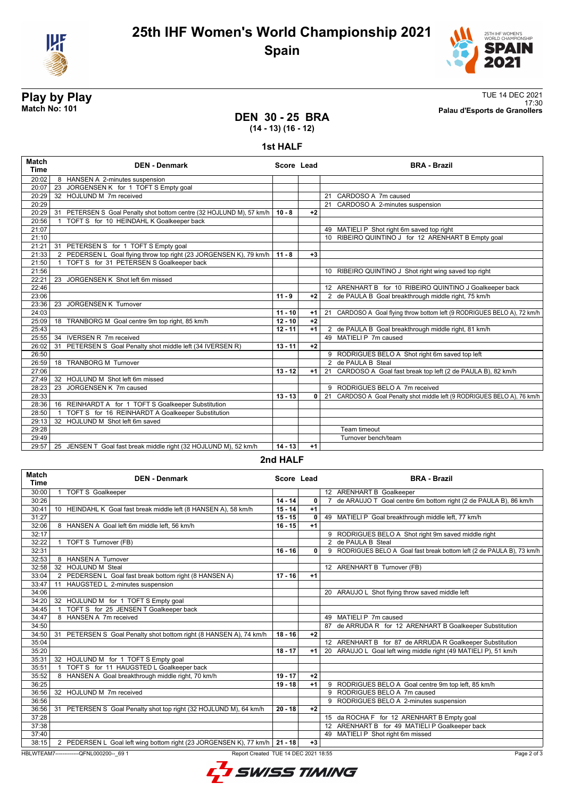



## **DEN 30 - 25 BRA**

**Play by Play**<br>Match No: 101<br>Palau d'Esports de Granollers 17:30 **Match No: 101 Palau d'Esports de Granollers**

# **(14 - 13) (16 - 12)**

**1st HALF**

| <b>Match</b><br><b>Time</b> | <b>DEN - Denmark</b>                                                     | Score Lead |          | <b>BRA - Brazil</b>                                                      |
|-----------------------------|--------------------------------------------------------------------------|------------|----------|--------------------------------------------------------------------------|
| 20:02                       | 8 HANSEN A 2-minutes suspension                                          |            |          |                                                                          |
| 20:07                       | JORGENSEN K for 1 TOFT S Empty goal<br>23                                |            |          |                                                                          |
| 20:29                       | 32 HOJLUND M 7m received                                                 |            |          | 21 CARDOSO A 7m caused                                                   |
| 20:29                       |                                                                          |            |          | 21 CARDOSO A 2-minutes suspension                                        |
| 20:29                       | PETERSEN S Goal Penalty shot bottom centre (32 HOJLUND M), 57 km/h<br>31 | $10 - 8$   | $+2$     |                                                                          |
| 20:56                       | TOFT S for 10 HEINDAHL K Goalkeeper back<br>$\mathbf{1}$                 |            |          |                                                                          |
| 21:07                       |                                                                          |            |          | 49 MATIELI P Shot right 6m saved top right                               |
| 21:10                       |                                                                          |            |          | 10 RIBEIRO QUINTINO J for 12 ARENHART B Empty goal                       |
| 21:21                       | 31 PETERSEN S for 1 TOFT S Empty goal                                    |            |          |                                                                          |
| 21:33                       | 2 PEDERSEN L Goal flying throw top right (23 JORGENSEN K), 79 km/h       | $11 - 8$   | $+3$     |                                                                          |
| 21:50                       | 1 TOFT S for 31 PETERSEN S Goalkeeper back                               |            |          |                                                                          |
| 21:56                       |                                                                          |            |          | 10 RIBEIRO QUINTINO J Shot right wing saved top right                    |
| 22:21                       | 23 JORGENSEN K Shot left 6m missed                                       |            |          |                                                                          |
| 22:46                       |                                                                          |            |          | 12 ARENHART B for 10 RIBEIRO QUINTINO J Goalkeeper back                  |
| 23:06                       |                                                                          | $11 - 9$   | $+2$     | 2 de PAULA B Goal breakthrough middle right, 75 km/h                     |
| 23:36                       | <b>JORGENSEN K Turnover</b><br>$\overline{23}$                           |            |          |                                                                          |
| 24:03                       |                                                                          | $11 - 10$  | $+1$     | 21 CARDOSO A Goal flying throw bottom left (9 RODRIGUES BELO A), 72 km/h |
| 25:09                       | TRANBORG M Goal centre 9m top right, 85 km/h<br>18                       | $12 - 10$  | $+2$     |                                                                          |
| 25:43                       |                                                                          | $12 - 11$  | $+1$     | 2 de PAULA B Goal breakthrough middle right, 81 km/h                     |
| 25:55                       | <b>IVERSEN R 7m received</b><br>34                                       |            |          | 49 MATIELLP 7m caused                                                    |
| 26:02                       | 31 PETERSEN S Goal Penalty shot middle left (34 IVERSEN R)               | $13 - 11$  | $+2$     |                                                                          |
| 26:50                       |                                                                          |            |          | 9 RODRIGUES BELO A Shot right 6m saved top left                          |
| 26:59                       | 18 TRANBORG M Turnover                                                   |            |          | 2 de PAULA B Steal                                                       |
| 27:06                       |                                                                          | $13 - 12$  | $+1$     | 21 CARDOSO A Goal fast break top left (2 de PAULA B), 82 km/h            |
| 27:49                       | 32 HOJLUND M Shot left 6m missed                                         |            |          |                                                                          |
| 28:23                       | JORGENSEN K 7m caused<br>23                                              |            |          | 9 RODRIGUES BELO A 7m received                                           |
| 28:33                       |                                                                          | $13 - 13$  | $\Omega$ | 21 CARDOSO A Goal Penalty shot middle left (9 RODRIGUES BELO A), 76 km/h |
| 28:36                       | 16 REINHARDT A for 1 TOFT S Goalkeeper Substitution                      |            |          |                                                                          |
| 28:50                       | TOFT S for 16 REINHARDT A Goalkeeper Substitution<br>$\mathbf{1}$        |            |          |                                                                          |
| 29:13                       | 32 HOJLUND M Shot left 6m saved                                          |            |          |                                                                          |
| 29:28                       |                                                                          |            |          | Team timeout                                                             |
| 29:49                       |                                                                          |            |          | Turnover bench/team                                                      |
| 29:57                       | 25 JENSEN T Goal fast break middle right (32 HOJLUND M), 52 km/h         | $14 - 13$  | $+1$     |                                                                          |

### **2nd HALF**

| Match<br>Time | <b>DEN - Denmark</b>                                                                            | Score Lead |              | <b>BRA - Brazil</b>                                                    |  |  |  |  |
|---------------|-------------------------------------------------------------------------------------------------|------------|--------------|------------------------------------------------------------------------|--|--|--|--|
| 30:00         | <b>TOFT S Goalkeeper</b>                                                                        |            |              | 12 ARENHART B Goalkeeper                                               |  |  |  |  |
| 30:26         |                                                                                                 | $14 - 14$  | $\mathbf{0}$ | 7 de ARAUJO T Goal centre 6m bottom right (2 de PAULA B), 86 km/h      |  |  |  |  |
| 30:41         | 10 HEINDAHL K Goal fast break middle left (8 HANSEN A), 58 km/h                                 | $15 - 14$  | $+1$         |                                                                        |  |  |  |  |
| 31:27         |                                                                                                 | $15 - 15$  | 0            | 49 MATIELI P Goal breakthrough middle left, 77 km/h                    |  |  |  |  |
| 32:06         | 8 HANSEN A Goal left 6m middle left, 56 km/h                                                    | $16 - 15$  | $+1$         |                                                                        |  |  |  |  |
| 32:17         |                                                                                                 |            |              | 9 RODRIGUES BELO A Shot right 9m saved middle right                    |  |  |  |  |
| 32:22         | TOFT S Turnover (FB)                                                                            |            |              | 2 de PAULA B Steal                                                     |  |  |  |  |
| 32:31         |                                                                                                 | $16 - 16$  | $\Omega$     | 9 RODRIGUES BELO A Goal fast break bottom left (2 de PAULA B), 73 km/h |  |  |  |  |
| 32:53         | 8 HANSEN A Turnover                                                                             |            |              |                                                                        |  |  |  |  |
| 32:58         | 32 HOJLUND M Steal                                                                              |            |              | 12 ARENHART B Turnover (FB)                                            |  |  |  |  |
| 33:04         | 2 PEDERSEN L Goal fast break bottom right (8 HANSEN A)                                          | $17 - 16$  | $+1$         |                                                                        |  |  |  |  |
| 33:47         | 11 HAUGSTED L 2-minutes suspension                                                              |            |              |                                                                        |  |  |  |  |
| 34:06         |                                                                                                 |            |              | 20 ARAUJO L Shot flying throw saved middle left                        |  |  |  |  |
| 34:20         | 32 HOJLUND M for 1 TOFT S Empty goal                                                            |            |              |                                                                        |  |  |  |  |
| 34:45         | TOFT S for 25 JENSEN T Goalkeeper back                                                          |            |              |                                                                        |  |  |  |  |
| 34:47         | 8 HANSEN A 7m received                                                                          |            |              | 49 MATIELI P 7m caused                                                 |  |  |  |  |
| 34:50         |                                                                                                 |            |              | 87 de ARRUDA R for 12 ARENHART B Goalkeeper Substitution               |  |  |  |  |
| 34:50         | 31 PETERSEN S Goal Penalty shot bottom right (8 HANSEN A), 74 km/h                              | $18 - 16$  | $+2$         |                                                                        |  |  |  |  |
| 35:04         |                                                                                                 |            |              | 12 ARENHART B for 87 de ARRUDA R Goalkeeper Substitution               |  |  |  |  |
| 35:20         |                                                                                                 | $18 - 17$  | $+1$         | 20 ARAUJO L Goal left wing middle right (49 MATIELI P), 51 km/h        |  |  |  |  |
| 35:31         | 32 HOJLUND M for 1 TOFT S Empty goal                                                            |            |              |                                                                        |  |  |  |  |
| 35:51         | TOFT S for 11 HAUGSTED L Goalkeeper back                                                        |            |              |                                                                        |  |  |  |  |
| 35:52         | 8 HANSEN A Goal breakthrough middle right, 70 km/h                                              | $19 - 17$  | $+2$         |                                                                        |  |  |  |  |
| 36:25         |                                                                                                 | $19 - 18$  | $+1$         | 9 RODRIGUES BELO A Goal centre 9m top left, 85 km/h                    |  |  |  |  |
| 36:56         | 32 HOJLUND M 7m received                                                                        |            |              | 9 RODRIGUES BELO A 7m caused                                           |  |  |  |  |
| 36:56         |                                                                                                 |            |              | 9 RODRIGUES BELO A 2-minutes suspension                                |  |  |  |  |
| 36:56         | 31 PETERSEN S Goal Penalty shot top right (32 HOJLUND M), 64 km/h                               | $20 - 18$  | $+2$         |                                                                        |  |  |  |  |
| 37:28         |                                                                                                 |            |              | 15 da ROCHA F for 12 ARENHART B Empty goal                             |  |  |  |  |
| 37:38         |                                                                                                 |            |              | 12 ARENHART B for 49 MATIELI P Goalkeeper back                         |  |  |  |  |
| 37:40         |                                                                                                 |            |              | 49 MATIELI P Shot right 6m missed                                      |  |  |  |  |
| 38:15         | 2 PEDERSEN L Goal left wing bottom right (23 JORGENSEN K), 77 km/h                              | 21 - 18    | $+3$         |                                                                        |  |  |  |  |
|               | HBLWTEAM7--------------QFNL000200-- 69 1<br>Report Created TUE 14 DEC 2021 18:55<br>Page 2 of 3 |            |              |                                                                        |  |  |  |  |